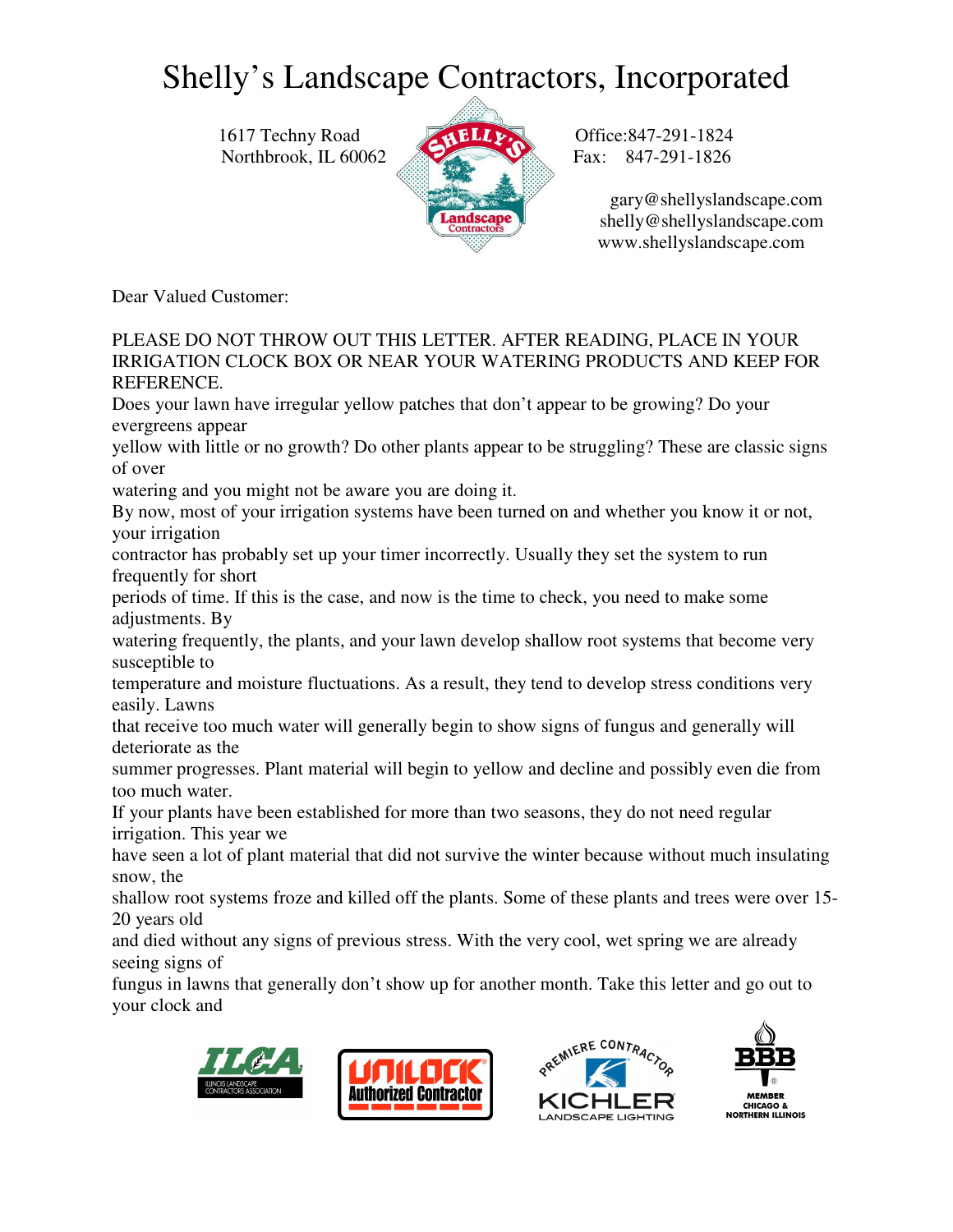1617 Techny Road **ALLACE Office:847-291-1824** Northbrook, IL 60062 Fax: 847-291-1826



 gary@shellyslandscape.com shelly@shellyslandscape.com www.shellyslandscape.com

Dear Valued Customer:

PLEASE DO NOT THROW OUT THIS LETTER. AFTER READING, PLACE IN YOUR IRRIGATION CLOCK BOX OR NEAR YOUR WATERING PRODUCTS AND KEEP FOR REFERENCE.

Does your lawn have irregular yellow patches that don't appear to be growing? Do your evergreens appear

yellow with little or no growth? Do other plants appear to be struggling? These are classic signs of over

watering and you might not be aware you are doing it.

By now, most of your irrigation systems have been turned on and whether you know it or not, your irrigation

contractor has probably set up your timer incorrectly. Usually they set the system to run frequently for short

periods of time. If this is the case, and now is the time to check, you need to make some adjustments. By

watering frequently, the plants, and your lawn develop shallow root systems that become very susceptible to

temperature and moisture fluctuations. As a result, they tend to develop stress conditions very easily. Lawns

that receive too much water will generally begin to show signs of fungus and generally will deteriorate as the

summer progresses. Plant material will begin to yellow and decline and possibly even die from too much water.

If your plants have been established for more than two seasons, they do not need regular irrigation. This year we

have seen a lot of plant material that did not survive the winter because without much insulating snow, the

shallow root systems froze and killed off the plants. Some of these plants and trees were over 15- 20 years old

and died without any signs of previous stress. With the very cool, wet spring we are already seeing signs of

fungus in lawns that generally don't show up for another month. Take this letter and go out to your clock and







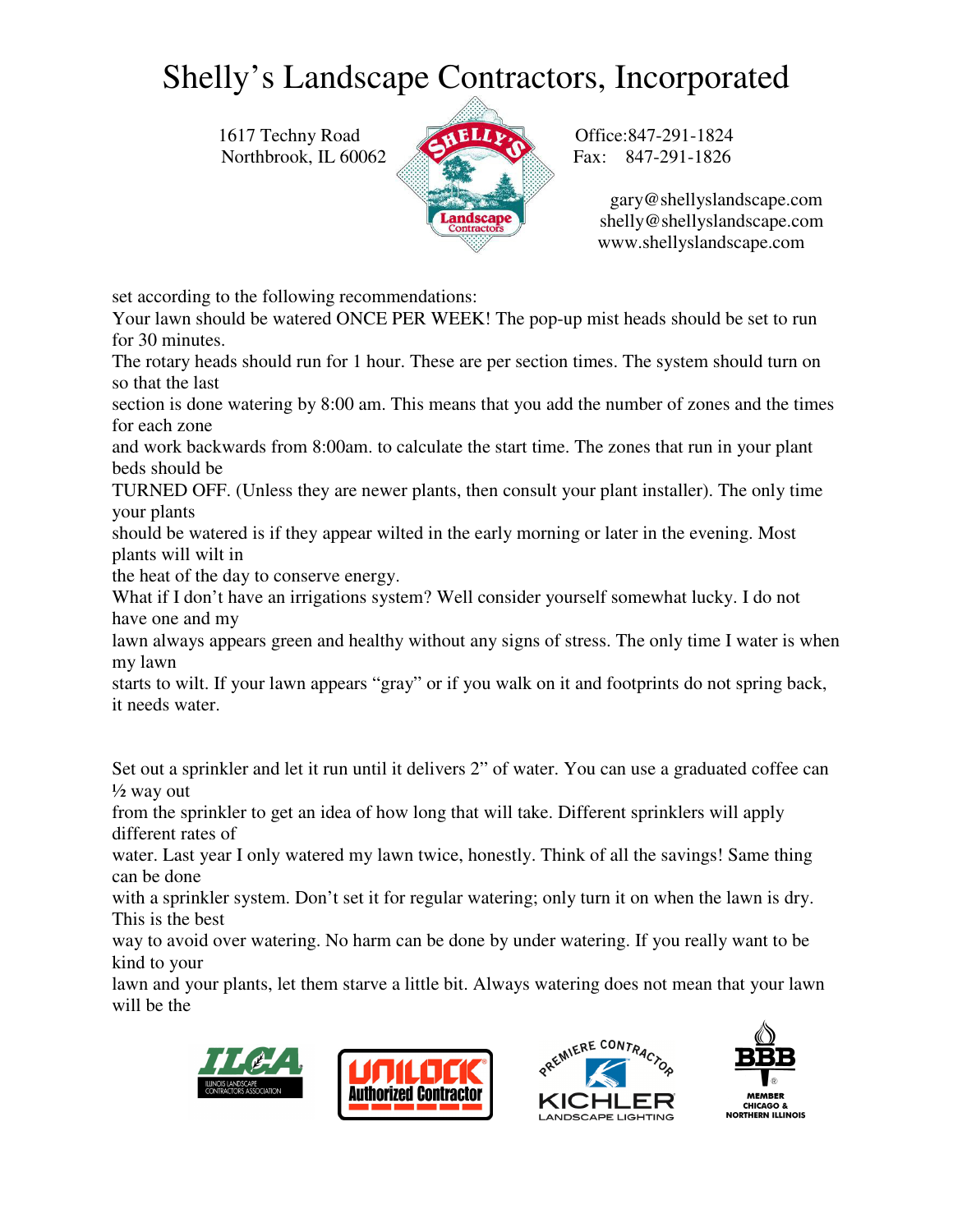1617 Techny Road **ALLACE Office:847-291-1824** Northbrook, IL 60062 Fax: 847-291-1826



 gary@shellyslandscape.com shelly@shellyslandscape.com www.shellyslandscape.com

set according to the following recommendations:

Your lawn should be watered ONCE PER WEEK! The pop-up mist heads should be set to run for 30 minutes.

The rotary heads should run for 1 hour. These are per section times. The system should turn on so that the last

section is done watering by 8:00 am. This means that you add the number of zones and the times for each zone

and work backwards from 8:00am. to calculate the start time. The zones that run in your plant beds should be

TURNED OFF. (Unless they are newer plants, then consult your plant installer). The only time your plants

should be watered is if they appear wilted in the early morning or later in the evening. Most plants will wilt in

the heat of the day to conserve energy.

What if I don't have an irrigations system? Well consider yourself somewhat lucky. I do not have one and my

lawn always appears green and healthy without any signs of stress. The only time I water is when my lawn

starts to wilt. If your lawn appears "gray" or if you walk on it and footprints do not spring back, it needs water.

Set out a sprinkler and let it run until it delivers 2" of water. You can use a graduated coffee can  $\frac{1}{2}$  way out

from the sprinkler to get an idea of how long that will take. Different sprinklers will apply different rates of

water. Last year I only watered my lawn twice, honestly. Think of all the savings! Same thing can be done

with a sprinkler system. Don't set it for regular watering; only turn it on when the lawn is dry. This is the best

way to avoid over watering. No harm can be done by under watering. If you really want to be kind to your

lawn and your plants, let them starve a little bit. Always watering does not mean that your lawn will be the





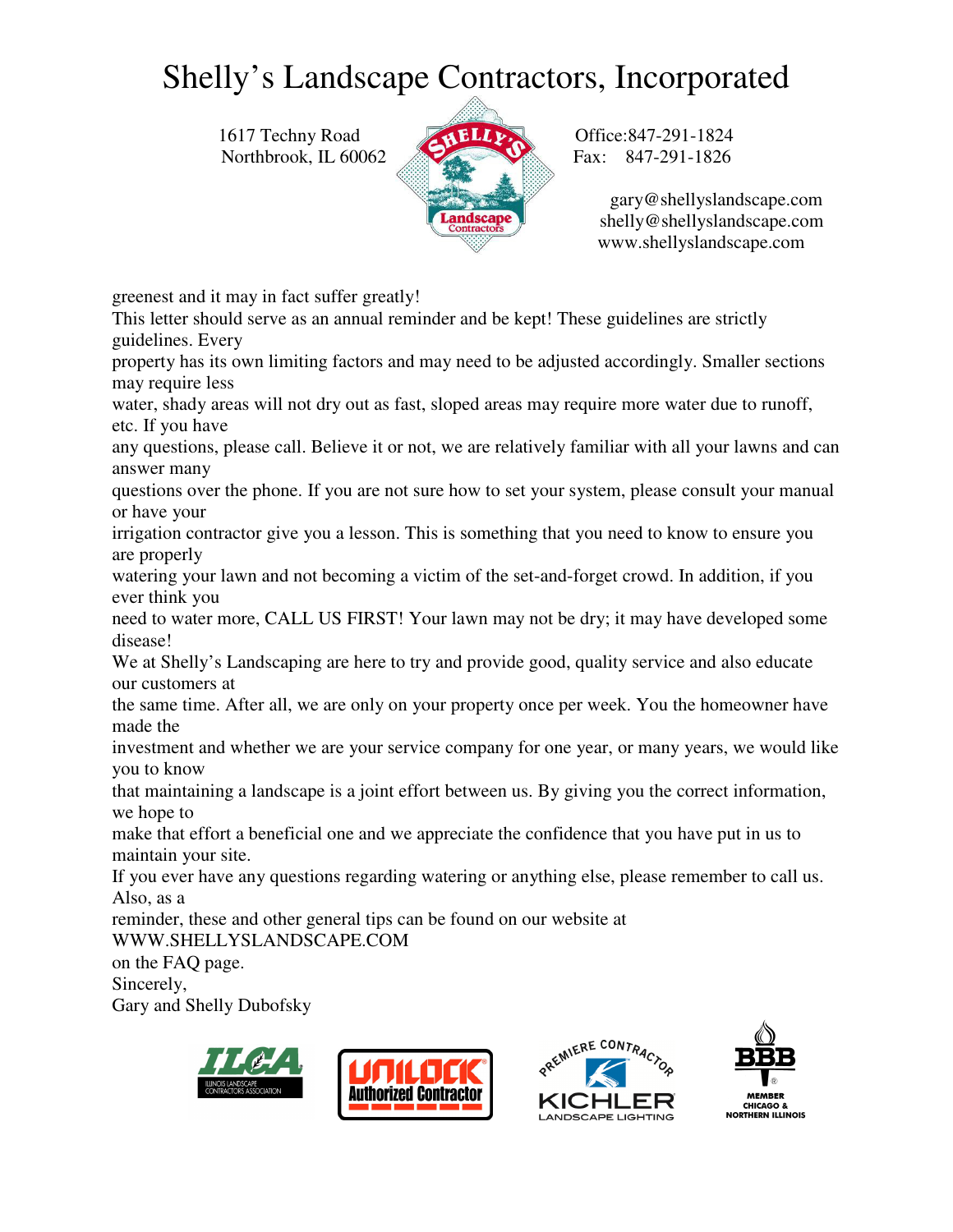1617 Techny Road **ALLACE Office:847-291-1824** Northbrook, IL 60062 Fax: 847-291-1826



 gary@shellyslandscape.com shelly@shellyslandscape.com www.shellyslandscape.com

greenest and it may in fact suffer greatly!

This letter should serve as an annual reminder and be kept! These guidelines are strictly guidelines. Every

property has its own limiting factors and may need to be adjusted accordingly. Smaller sections may require less

water, shady areas will not dry out as fast, sloped areas may require more water due to runoff, etc. If you have

any questions, please call. Believe it or not, we are relatively familiar with all your lawns and can answer many

questions over the phone. If you are not sure how to set your system, please consult your manual or have your

irrigation contractor give you a lesson. This is something that you need to know to ensure you are properly

watering your lawn and not becoming a victim of the set-and-forget crowd. In addition, if you ever think you

need to water more, CALL US FIRST! Your lawn may not be dry; it may have developed some disease!

We at Shelly's Landscaping are here to try and provide good, quality service and also educate our customers at

the same time. After all, we are only on your property once per week. You the homeowner have made the

investment and whether we are your service company for one year, or many years, we would like you to know

that maintaining a landscape is a joint effort between us. By giving you the correct information, we hope to

make that effort a beneficial one and we appreciate the confidence that you have put in us to maintain your site.

If you ever have any questions regarding watering or anything else, please remember to call us. Also, as a

reminder, these and other general tips can be found on our website at

WWW.SHELLYSLANDSCAPE.COM

on the FAQ page.

Sincerely,

Gary and Shelly Dubofsky